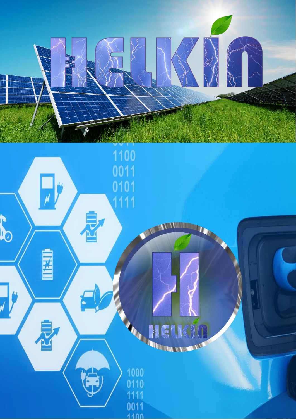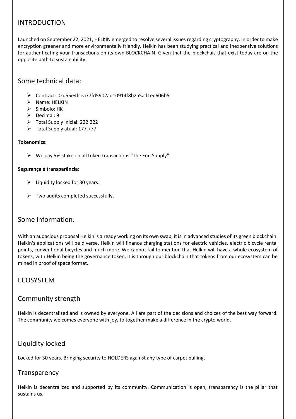## INTRODUCTION

Launched on September 22, 2021, HELKIN emerged to resolve several issues regarding cryptography. In order to make encryption greener and more environmentally friendly, Helkin has been studying practical and inexpensive solutions for authenticating your transactions on its own BLOCKCHAIN. Given that the blockchais that exist today are on the opposite path to sustainability.

## Some technical data:

- Contract: 0xd55e4fcea77fd5902ad10914f8b2a5ad1ee606b5
- $\triangleright$  Name: HELKIN
- $\triangleright$  Símbolo: HK
- $\triangleright$  Decimal: 9
- Total Supply inicial: 222.222
- Total Supply atual: 177.777

#### **Tokenomics:**

 $\triangleright$  We pay 5% stake on all token transactions "The End Supply".

#### **Segurança é transparência:**

- $\triangleright$  Liquidity locked for 30 years.
- $\triangleright$  Two audits completed successfully.

#### Some information.

With an audacious proposal Helkin is already working on its own swap, it is in advanced studies of its green blockchain. Helkin's applications will be diverse, Helkin will finance charging stations for electric vehicles, electric bicycle rental points, conventional bicycles and much more. We cannot fail to mention that Helkin will have a whole ecosystem of tokens, with Helkin being the governance token, it is through our blockchain that tokens from our ecosystem can be mined in proof of space format.

#### ECOSYSTEM

#### Community strength

Helkin is decentralized and is owned by everyone. All are part of the decisions and choices of the best way forward. The community welcomes everyone with joy, to together make a difference in the crypto world.

## Liquidity locked

Locked for 30 years. Bringing security to HOLDERS against any type of carpet pulling.

#### **Transparency**

Helkin is decentralized and supported by its community. Communication is open, transparency is the pillar that sustains us.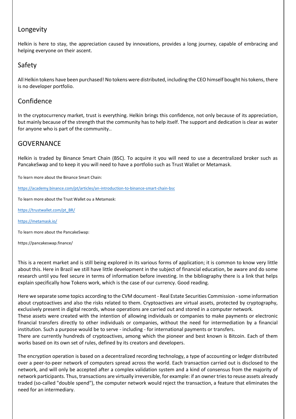## Longevity

Helkin is here to stay, the appreciation caused by innovations, provides a long journey, capable of embracing and helping everyone on their ascent.

# Safety

All Helkin tokens have been purchased! No tokens were distributed, including the CEO himself bought his tokens, there is no developer portfolio.

## Confidence

In the cryptocurrency market, trust is everything. Helkin brings this confidence, not only because of its appreciation, but mainly because of the strength that the community has to help itself. The support and dedication is clear as water for anyone who is part of the community..

# **GOVERNANCE**

Helkin is traded by Binance Smart Chain (BSC). To acquire it you will need to use a decentralized broker such as PancakeSwap and to keep it you will need to have a portfolio such as Trust Wallet or Metamask.

To learn more about the Binance Smart Chain:

<https://academy.binance.com/pt/articles/an-introduction-to-binance-smart-chain-bsc>

To learn more about the Trust Wallet ou a Metamask:

[https://trustwallet.com/pt\\_BR/](https://trustwallet.com/pt_BR/)

<https://metamask.io/>

To learn more about the PancakeSwap:

https://pancakeswap.finance/

This is a recent market and is still being explored in its various forms of application; it is common to know very little about this. Here in Brazil we still have little development in the subject of financial education, be aware and do some research until you feel secure in terms of information before investing. In the bibliography there is a link that helps explain specifically how Tokens work, which is the case of our currency. Good reading.

Here we separate some topics according to the CVM document - Real Estate Securities Commission -some information about cryptoactives and also the risks related to them. Cryptoactives are virtual assets, protected by cryptography, exclusively present in digital records, whose operations are carried out and stored in a computer network.

These assets were created with the intention of allowing individuals or companies to make payments or electronic financial transfers directly to other individuals or companies, without the need for intermediation by a financial institution. Such a purpose would be to serve - including - for international payments or transfers.

There are currently hundreds of cryptoactives, among which the pioneer and best known is Bitcoin. Each of them works based on its own set of rules, defined by its creators and developers.

The encryption operation is based on a decentralized recording technology, a type of accounting or ledger distributed over a peer-to-peer network of computers spread across the world. Each transaction carried out is disclosed to the network, and will only be accepted after a complex validation system and a kind of consensus from the majority of network participants. Thus, transactions are virtually irreversible, for example: if an owner tries to reuse assets already traded (so-called "double spend"), the computer network would reject the transaction, a feature that eliminates the need for an intermediary.